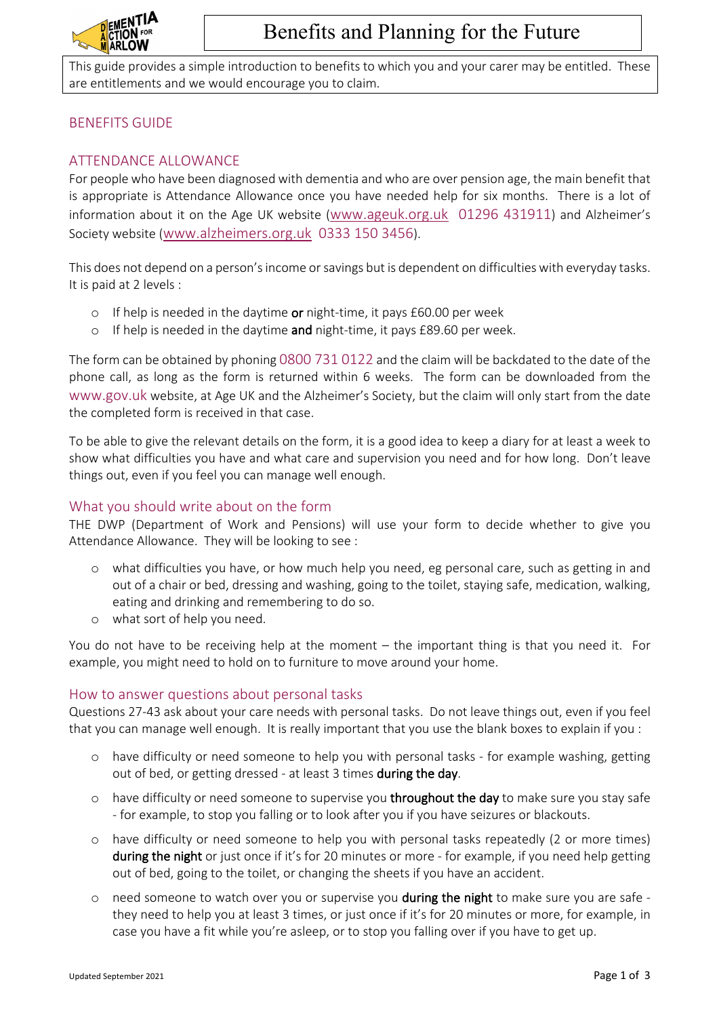

This guide provides a simple introduction to benefits to which you and your carer may be entitled. These are entitlements and we would encourage you to claim.

## BENEFITS GUIDE

## ATTENDANCE ALLOWANCE

For people who have been diagnosed with dementia and who are over pension age, the main benefit that is appropriate is Attendance Allowance once you have needed help for six months. There is a lot of information about it on the Age UK website (www.ageuk.org.uk 01296 431911) and Alzheimer's Society website (www.alzheimers.org.uk 0333 150 3456).

This does not depend on a person's income or savings but is dependent on difficulties with everyday tasks. It is paid at 2 levels :

- o If help is needed in the daytime or night-time, it pays  $£60.00$  per week
- o If help is needed in the daytime and night-time, it pays £89.60 per week.

The form can be obtained by phoning 0800 731 0122 and the claim will be backdated to the date of the phone call, as long as the form is returned within 6 weeks. The form can be downloaded from the www.gov.uk website, at Age UK and the Alzheimer's Society, but the claim will only start from the date the completed form is received in that case.

To be able to give the relevant details on the form, it is a good idea to keep a diary for at least a week to show what difficulties you have and what care and supervision you need and for how long. Don't leave things out, even if you feel you can manage well enough.

## What you should write about on the form

THE DWP (Department of Work and Pensions) will use your form to decide whether to give you Attendance Allowance. They will be looking to see :

- o what difficulties you have, or how much help you need, eg personal care, such as getting in and out of a chair or bed, dressing and washing, going to the toilet, staying safe, medication, walking, eating and drinking and remembering to do so.
- o what sort of help you need.

You do not have to be receiving help at the moment – the important thing is that you need it. For example, you might need to hold on to furniture to move around your home.

### How to answer questions about personal tasks

Questions 27-43 ask about your care needs with personal tasks. Do not leave things out, even if you feel that you can manage well enough. It is really important that you use the blank boxes to explain if you :

- o have difficulty or need someone to help you with personal tasks for example washing, getting out of bed, or getting dressed - at least 3 times during the day.
- $\circ$  have difficulty or need someone to supervise you throughout the day to make sure you stay safe - for example, to stop you falling or to look after you if you have seizures or blackouts.
- o have difficulty or need someone to help you with personal tasks repeatedly (2 or more times) during the night or just once if it's for 20 minutes or more - for example, if you need help getting out of bed, going to the toilet, or changing the sheets if you have an accident.
- o need someone to watch over you or supervise you during the night to make sure you are safe they need to help you at least 3 times, or just once if it's for 20 minutes or more, for example, in case you have a fit while you're asleep, or to stop you falling over if you have to get up.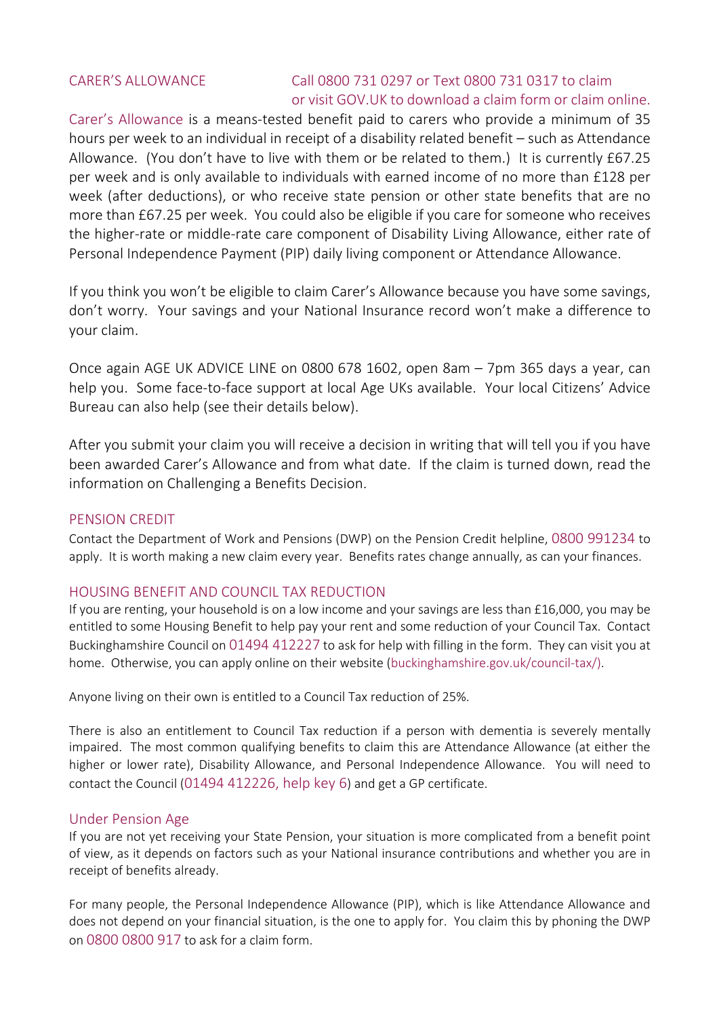## CARER'S ALLOWANCE Call 0800 731 0297 or Text 0800 731 0317 to claim or visit GOV.UK to download a claim form or claim online.

Carer's Allowance is a means-tested benefit paid to carers who provide a minimum of 35 hours per week to an individual in receipt of a disability related benefit – such as Attendance Allowance. (You don't have to live with them or be related to them.) It is currently £67.25 per week and is only available to individuals with earned income of no more than £128 per week (after deductions), or who receive state pension or other state benefits that are no more than £67.25 per week. You could also be eligible if you care for someone who receives the higher-rate or middle-rate care component of Disability Living Allowance, either rate of Personal Independence Payment (PIP) daily living component or Attendance Allowance.

If you think you won't be eligible to claim Carer's Allowance because you have some savings, don't worry. Your savings and your National Insurance record won't make a difference to your claim.

Once again AGE UK ADVICE LINE on 0800 678 1602, open 8am – 7pm 365 days a year, can help you. Some face-to-face support at local Age UKs available. Your local Citizens' Advice Bureau can also help (see their details below).

After you submit your claim you will receive a decision in writing that will tell you if you have been awarded Carer's Allowance and from what date. If the claim is turned down, read the information on Challenging a Benefits Decision.

## PENSION CREDIT

Contact the Department of Work and Pensions (DWP) on the Pension Credit helpline, 0800 991234 to apply. It is worth making a new claim every year. Benefits rates change annually, as can your finances.

## HOUSING BENEFIT AND COUNCIL TAX REDUCTION

If you are renting, your household is on a low income and your savings are less than £16,000, you may be entitled to some Housing Benefit to help pay your rent and some reduction of your Council Tax. Contact Buckinghamshire Council on 01494 412227 to ask for help with filling in the form. They can visit you at home. Otherwise, you can apply online on their website (buckinghamshire.gov.uk/council-tax/).

Anyone living on their own is entitled to a Council Tax reduction of 25%.

There is also an entitlement to Council Tax reduction if a person with dementia is severely mentally impaired. The most common qualifying benefits to claim this are Attendance Allowance (at either the higher or lower rate), Disability Allowance, and Personal Independence Allowance. You will need to contact the Council (01494 412226, help key 6) and get a GP certificate.

### Under Pension Age

If you are not yet receiving your State Pension, your situation is more complicated from a benefit point of view, as it depends on factors such as your National insurance contributions and whether you are in receipt of benefits already.

For many people, the Personal Independence Allowance (PIP), which is like Attendance Allowance and does not depend on your financial situation, is the one to apply for. You claim this by phoning the DWP on 0800 0800 917 to ask for a claim form.